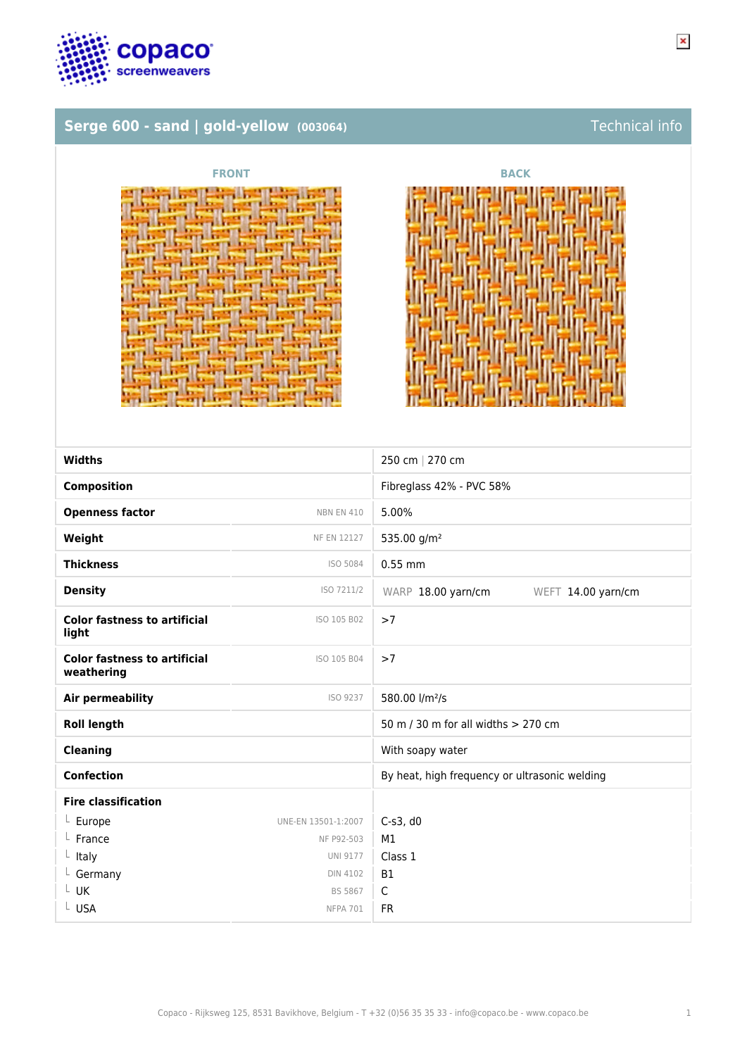

# **Serge 600 - sand | gold-yellow (003064)** Technical info





| <b>Widths</b>                                     |                     | 250 cm   270 cm                               |
|---------------------------------------------------|---------------------|-----------------------------------------------|
| <b>Composition</b>                                |                     | Fibreglass 42% - PVC 58%                      |
| <b>Openness factor</b>                            | <b>NBN EN 410</b>   | 5.00%                                         |
| Weight                                            | <b>NF EN 12127</b>  | 535.00 g/m <sup>2</sup>                       |
| <b>Thickness</b>                                  | ISO 5084            | $0.55$ mm                                     |
| <b>Density</b>                                    | ISO 7211/2          | WARP 18.00 yarn/cm<br>WEFT 14.00 yarn/cm      |
| <b>Color fastness to artificial</b><br>light      | ISO 105 B02         | >7                                            |
| <b>Color fastness to artificial</b><br>weathering | ISO 105 B04         | >7                                            |
| <b>Air permeability</b>                           | ISO 9237            | 580.00 l/m <sup>2</sup> /s                    |
| <b>Roll length</b>                                |                     | 50 m / 30 m for all widths $> 270$ cm         |
| <b>Cleaning</b>                                   |                     | With soapy water                              |
| <b>Confection</b>                                 |                     | By heat, high frequency or ultrasonic welding |
| <b>Fire classification</b>                        |                     |                                               |
| $L$ Europe                                        | UNE-EN 13501-1:2007 | $C-s3$ , d $0$                                |
| France                                            | NF P92-503          | M1                                            |
| Italy                                             | <b>UNI 9177</b>     | Class 1                                       |
| Germany                                           | <b>DIN 4102</b>     | <b>B1</b>                                     |
| L UK                                              | BS 5867             | $\mathsf{C}$                                  |
| L USA                                             | <b>NFPA 701</b>     | <b>FR</b>                                     |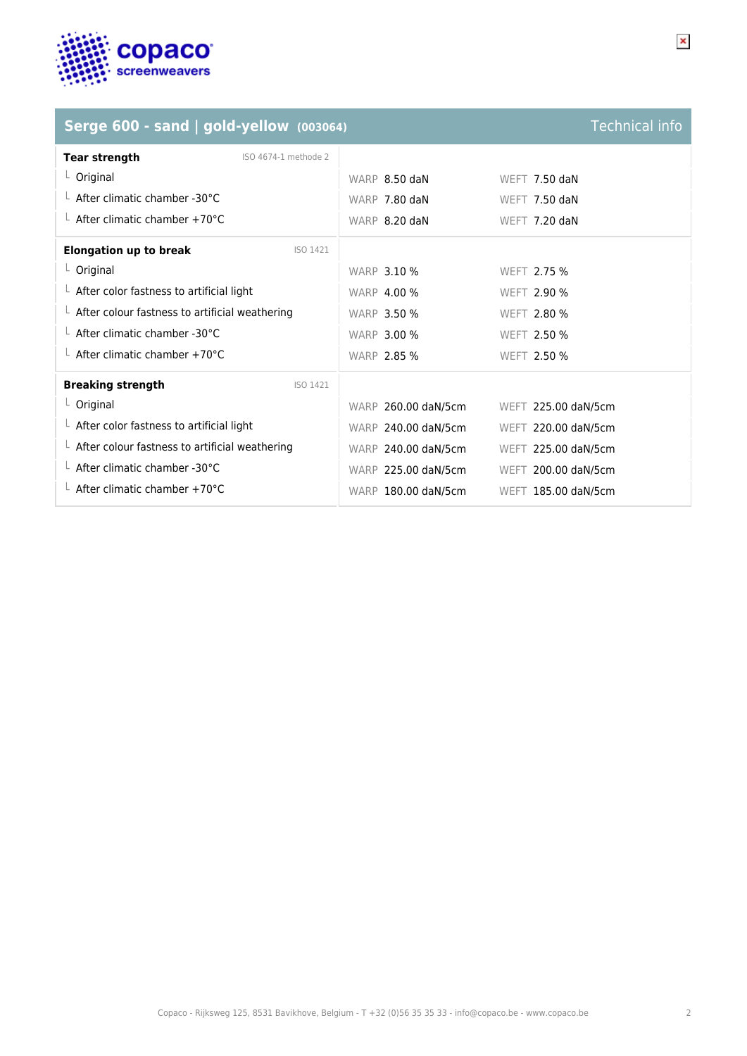

### **Serge 600 - sand | gold-yellow (003064)** Technical info

### **Tear strength** ISO 4674-1 methode 2 L Original Local Contract Contract Contract Contract Contract Contract Contract Contract Contract Contract Contract Contract Contract Contract Contract Contract Contract Contract Contract Contract Contract Contract Contrac L After climatic chamber -30°C No. 1991 WARP 7.80 daN WEFT 7.50 daN L After climatic chamber +70°C Next Consumer 2.20 daN WEFT 7.20 daN **Elongation up to break ISO 1421** └ Original WARP 3.10 % WEFT 2.75 % L After color fastness to artificial light WARP 4.00 % WEFT 2.90 % L After colour fastness to artificial weathering WARP 3.50 % WEFT 2.80 % L After climatic chamber -30°C Next Control 2.50 % WARP 3.00 % WEFT 2.50 %  $\perp$  After climatic chamber +70°C WARP 2.85 % WEFT 2.50 % **Breaking strength** ISO 1421 └ Original WARP 260.00 daN/5cm WEFT 225.00 daN/5cm L After color fastness to artificial light MARP 240.00 daN/5cm WEFT 220.00 daN/5cm L After colour fastness to artificial weathering WARP 240.00 daN/5cm WEFT 225.00 daN/5cm L After climatic chamber -30°C and the WARP 225.00 daN/5cm WEFT 200.00 daN/5cm L After climatic chamber +70°C WARP 180.00 daN/5cm WEFT 185.00 daN/5cm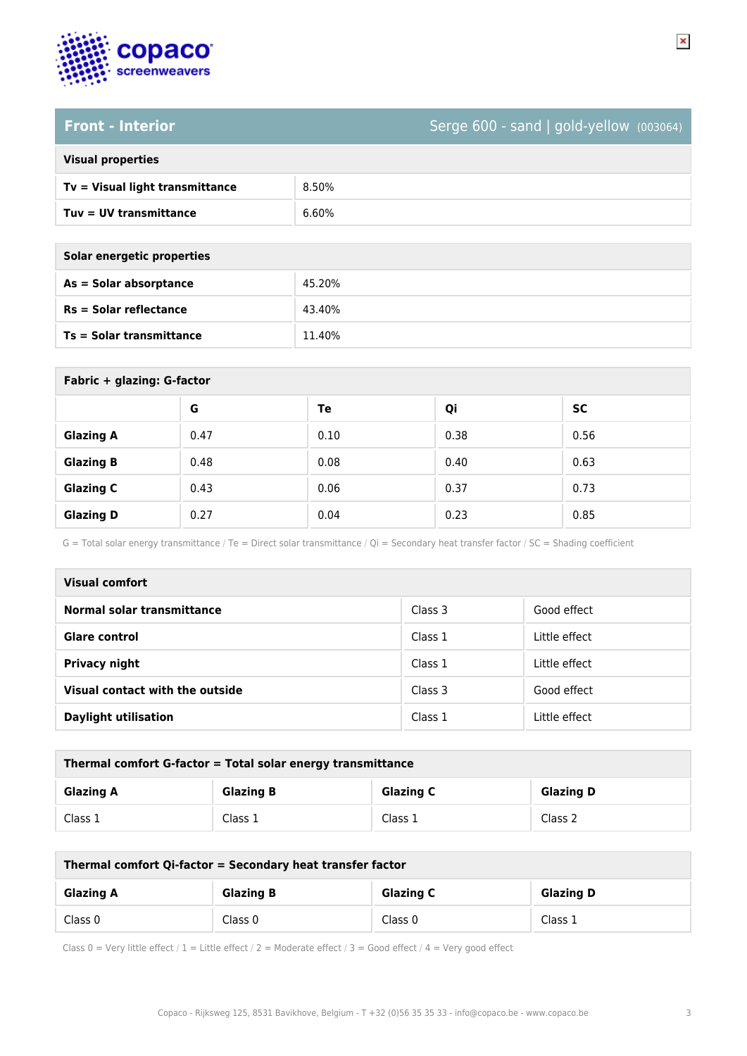

## **Front - Interior** Serge 600 - sand | gold-yellow (003064)

| <b>Visual properties</b> |  |  |
|--------------------------|--|--|
|                          |  |  |

| Tv = Visual light transmittance | 8.50% |
|---------------------------------|-------|
| Tuv = UV transmittance          | 6.60% |

| Solar energetic properties      |        |  |
|---------------------------------|--------|--|
| As = Solar absorptance          | 45.20% |  |
| $Rs = Solar$ reflectance        | 43.40% |  |
| <b>Ts = Solar transmittance</b> | 11.40% |  |

| Fabric + glazing: G-factor |      |      |      |           |
|----------------------------|------|------|------|-----------|
|                            | G    | Te   | Qi   | <b>SC</b> |
| <b>Glazing A</b>           | 0.47 | 0.10 | 0.38 | 0.56      |
| <b>Glazing B</b>           | 0.48 | 0.08 | 0.40 | 0.63      |
| <b>Glazing C</b>           | 0.43 | 0.06 | 0.37 | 0.73      |
| <b>Glazing D</b>           | 0.27 | 0.04 | 0.23 | 0.85      |

G = Total solar energy transmittance / Te = Direct solar transmittance / Qi = Secondary heat transfer factor / SC = Shading coefficient

| <b>Visual comfort</b>           |         |               |  |
|---------------------------------|---------|---------------|--|
| Normal solar transmittance      | Class 3 | Good effect   |  |
| <b>Glare control</b>            | Class 1 | Little effect |  |
| Privacy night                   | Class 1 | Little effect |  |
| Visual contact with the outside | Class 3 | Good effect   |  |
| <b>Daylight utilisation</b>     | Class 1 | Little effect |  |

| Thermal comfort G-factor = Total solar energy transmittance                  |         |         |         |  |
|------------------------------------------------------------------------------|---------|---------|---------|--|
| <b>Glazing C</b><br><b>Glazing B</b><br><b>Glazing D</b><br><b>Glazing A</b> |         |         |         |  |
| Class 1                                                                      | Class 1 | Class 1 | Class 2 |  |

| Thermal comfort Qi-factor = Secondary heat transfer factor                   |         |         |         |  |
|------------------------------------------------------------------------------|---------|---------|---------|--|
| <b>Glazing C</b><br><b>Glazing B</b><br><b>Glazing D</b><br><b>Glazing A</b> |         |         |         |  |
| Class 0                                                                      | Class 0 | Class 0 | Class 1 |  |

Class 0 = Very little effect / 1 = Little effect / 2 = Moderate effect / 3 = Good effect / 4 = Very good effect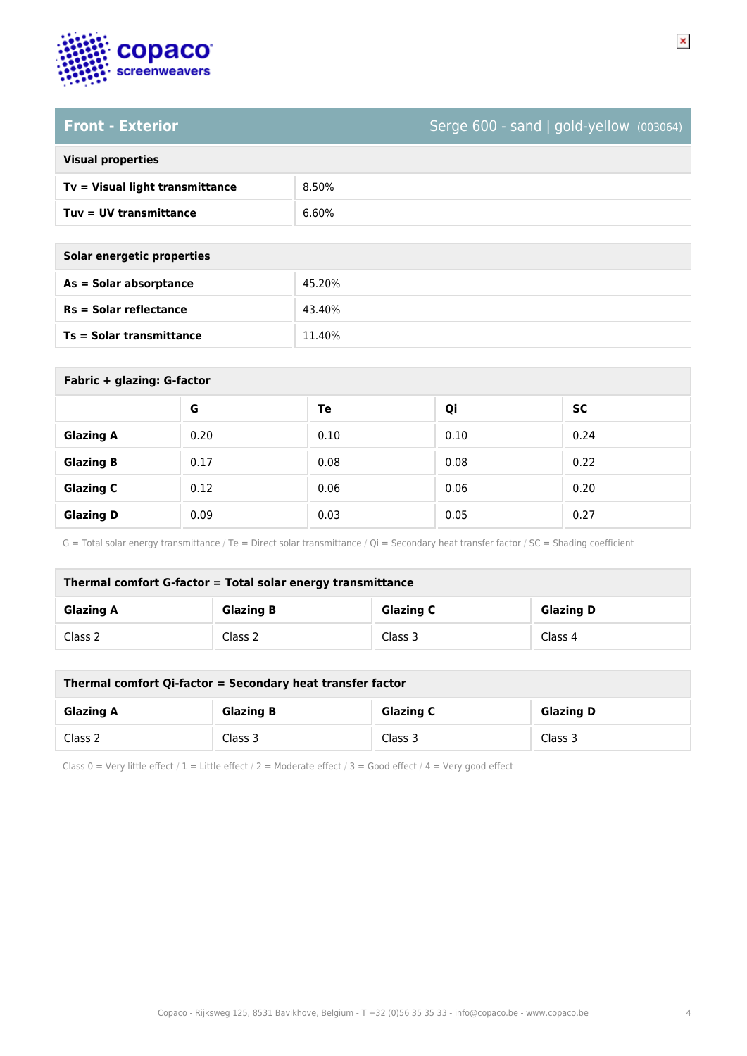

# **Front - Exterior** Serge 600 - sand | gold-yellow (003064)

 $\pmb{\times}$ 

| <b>Visual properties</b> |  |
|--------------------------|--|
|                          |  |

| Tv = Visual light transmittance | 8.50% |
|---------------------------------|-------|
| Tuv = UV transmittance          | 6.60% |

| Solar energetic properties |        |  |
|----------------------------|--------|--|
| As = Solar absorptance     | 45.20% |  |
| $Rs = Solar$ reflectance   | 43.40% |  |
| Ts = Solar transmittance   | 11.40% |  |
|                            |        |  |

| Fabric + glazing: G-factor |      |      |      |           |
|----------------------------|------|------|------|-----------|
|                            | G    | Te   | Qi   | <b>SC</b> |
| <b>Glazing A</b>           | 0.20 | 0.10 | 0.10 | 0.24      |
| <b>Glazing B</b>           | 0.17 | 0.08 | 0.08 | 0.22      |
| <b>Glazing C</b>           | 0.12 | 0.06 | 0.06 | 0.20      |
| <b>Glazing D</b>           | 0.09 | 0.03 | 0.05 | 0.27      |

G = Total solar energy transmittance / Te = Direct solar transmittance / Qi = Secondary heat transfer factor / SC = Shading coefficient

| Thermal comfort G-factor = Total solar energy transmittance |                  |                  |                  |
|-------------------------------------------------------------|------------------|------------------|------------------|
| <b>Glazing A</b>                                            | <b>Glazing B</b> | <b>Glazing C</b> | <b>Glazing D</b> |
| Class 2                                                     | Class 2          | Class 3          | Class 4          |

| Thermal comfort Qi-factor = Secondary heat transfer factor |                  |                  |                  |
|------------------------------------------------------------|------------------|------------------|------------------|
| <b>Glazing A</b>                                           | <b>Glazing B</b> | <b>Glazing C</b> | <b>Glazing D</b> |
| Class 2                                                    | Class 3          | Class 3          | Class 3          |

Class 0 = Very little effect / 1 = Little effect / 2 = Moderate effect / 3 = Good effect / 4 = Very good effect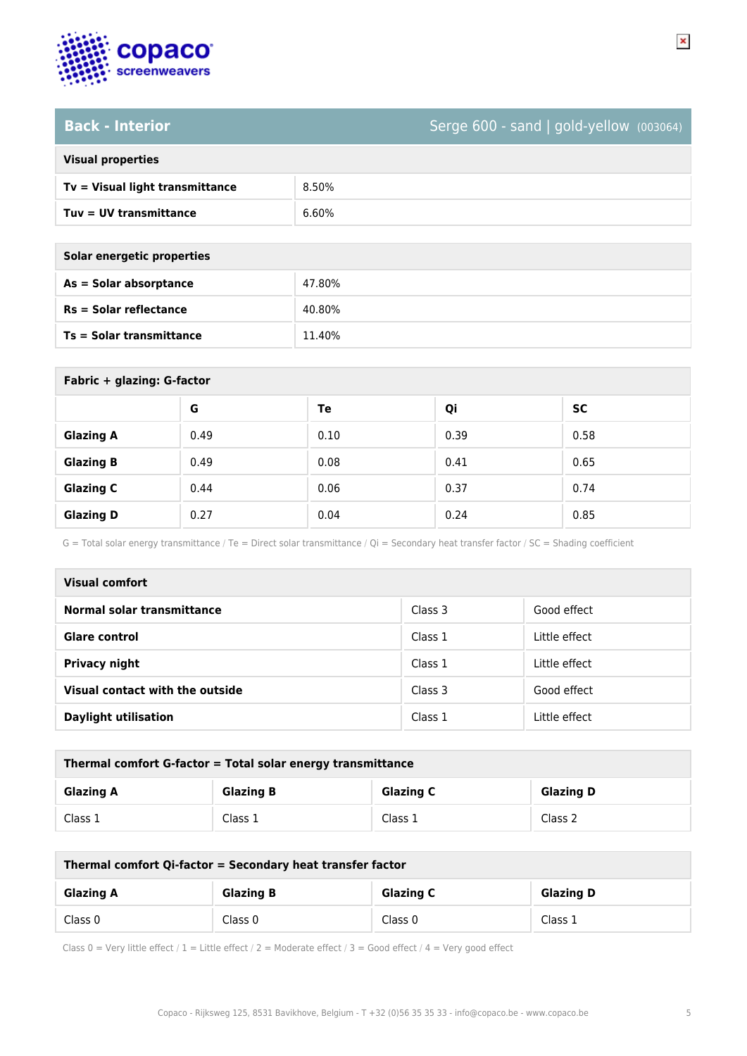

## **Back - Interior** Serge 600 - sand | gold-yellow (003064)

| <b>Visual properties</b> |  |  |
|--------------------------|--|--|
|                          |  |  |

| $Tv = V$ isual light transmittance | 8.50% |
|------------------------------------|-------|
| Tuy = UV transmittance             | 6.60% |

| Solar energetic properties |        |
|----------------------------|--------|
| $As = Solar absorption$    | 47.80% |
| $Rs = Solar$ reflectance   | 40.80% |
| Ts = Solar transmittance   | 11.40% |
|                            |        |

| Fabric + glazing: G-factor |      |      |      |           |
|----------------------------|------|------|------|-----------|
|                            | G    | Te   | Qi   | <b>SC</b> |
| <b>Glazing A</b>           | 0.49 | 0.10 | 0.39 | 0.58      |
| <b>Glazing B</b>           | 0.49 | 0.08 | 0.41 | 0.65      |
| <b>Glazing C</b>           | 0.44 | 0.06 | 0.37 | 0.74      |
| <b>Glazing D</b>           | 0.27 | 0.04 | 0.24 | 0.85      |

G = Total solar energy transmittance / Te = Direct solar transmittance / Qi = Secondary heat transfer factor / SC = Shading coefficient

| <b>Visual comfort</b>           |         |               |
|---------------------------------|---------|---------------|
| Normal solar transmittance      | Class 3 | Good effect   |
| <b>Glare control</b>            | Class 1 | Little effect |
| Privacy night                   | Class 1 | Little effect |
| Visual contact with the outside | Class 3 | Good effect   |
| <b>Daylight utilisation</b>     | Class 1 | Little effect |

| Thermal comfort G-factor = Total solar energy transmittance |                  |                  |                  |
|-------------------------------------------------------------|------------------|------------------|------------------|
| <b>Glazing A</b>                                            | <b>Glazing B</b> | <b>Glazing C</b> | <b>Glazing D</b> |
| Class 1                                                     | Class 1          | Class 1          | Class 2          |

| Thermal comfort Qi-factor = Secondary heat transfer factor |                  |                  |                  |
|------------------------------------------------------------|------------------|------------------|------------------|
| <b>Glazing A</b>                                           | <b>Glazing B</b> | <b>Glazing C</b> | <b>Glazing D</b> |
| Class 0                                                    | Class 0          | Class 0          | Class 1          |

Class 0 = Very little effect / 1 = Little effect / 2 = Moderate effect / 3 = Good effect / 4 = Very good effect

 $\pmb{\times}$